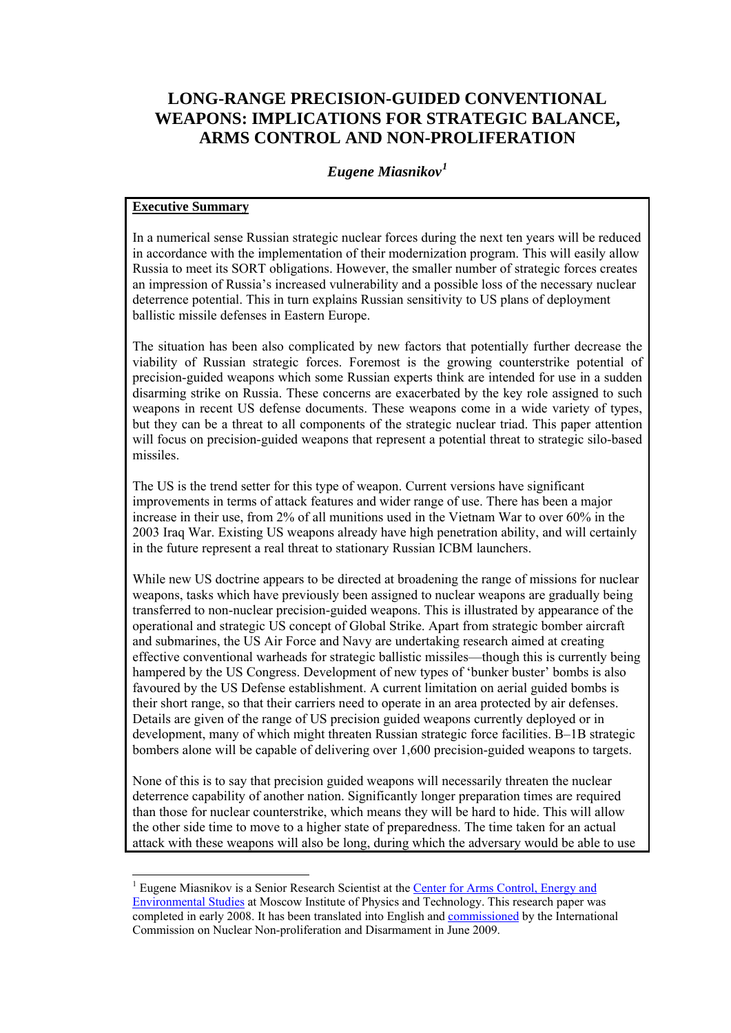# **LONG-RANGE PRECISION-GUIDED CONVENTIONAL WEAPONS: IMPLICATIONS FOR STRATEGIC BALANCE, ARMS CONTROL AND NON-PROLIFERATION**

# *Eugene Miasnikov[1](#page-0-0)*

# **Executive Summary**

-

In a numerical sense Russian strategic nuclear forces during the next ten years will be reduced in accordance with the implementation of their modernization program. This will easily allow Russia to meet its SORT obligations. However, the smaller number of strategic forces creates an impression of Russia's increased vulnerability and a possible loss of the necessary nuclear deterrence potential. This in turn explains Russian sensitivity to US plans of deployment ballistic missile defenses in Eastern Europe.

The situation has been also complicated by new factors that potentially further decrease the viability of Russian strategic forces. Foremost is the growing counterstrike potential of precision-guided weapons which some Russian experts think are intended for use in a sudden disarming strike on Russia. These concerns are exacerbated by the key role assigned to such weapons in recent US defense documents. These weapons come in a wide variety of types, but they can be a threat to all components of the strategic nuclear triad. This paper attention will focus on precision-guided weapons that represent a potential threat to strategic silo-based missiles.

The US is the trend setter for this type of weapon. Current versions have significant improvements in terms of attack features and wider range of use. There has been a major increase in their use, from 2% of all munitions used in the Vietnam War to over 60% in the 2003 Iraq War. Existing US weapons already have high penetration ability, and will certainly in the future represent a real threat to stationary Russian ICBM launchers.

While new US doctrine appears to be directed at broadening the range of missions for nuclear weapons, tasks which have previously been assigned to nuclear weapons are gradually being transferred to non-nuclear precision-guided weapons. This is illustrated by appearance of the operational and strategic US concept of Global Strike. Apart from strategic bomber aircraft and submarines, the US Air Force and Navy are undertaking research aimed at creating effective conventional warheads for strategic ballistic missiles—though this is currently being hampered by the US Congress. Development of new types of 'bunker buster' bombs is also favoured by the US Defense establishment. A current limitation on aerial guided bombs is their short range, so that their carriers need to operate in an area protected by air defenses. Details are given of the range of US precision guided weapons currently deployed or in development, many of which might threaten Russian strategic force facilities. B–1B strategic bombers alone will be capable of delivering over 1,600 precision-guided weapons to targets.

None of this is to say that precision guided weapons will necessarily threaten the nuclear deterrence capability of another nation. Significantly longer preparation times are required than those for nuclear counterstrike, which means they will be hard to hide. This will allow the other side time to move to a higher state of preparedness. The time taken for an actual attack with these weapons will also be long, during which the adversary would be able to use

<span id="page-0-0"></span><sup>&</sup>lt;sup>1</sup> Eugene Miasnikov is a Senior Research Scientist at the Center for Arms Control, Energy and [Environmental Studies](http://www.armscontrol.ru/) at Moscow Institute of Physics and Technology. This research paper was completed in early 2008. It has been translated into English and [commissioned](http://www.icnnd.org/latest/research/Miasnikov_Long_Range_Missiles.pdf) by the International Commission on Nuclear Non-proliferation and Disarmament in June 2009.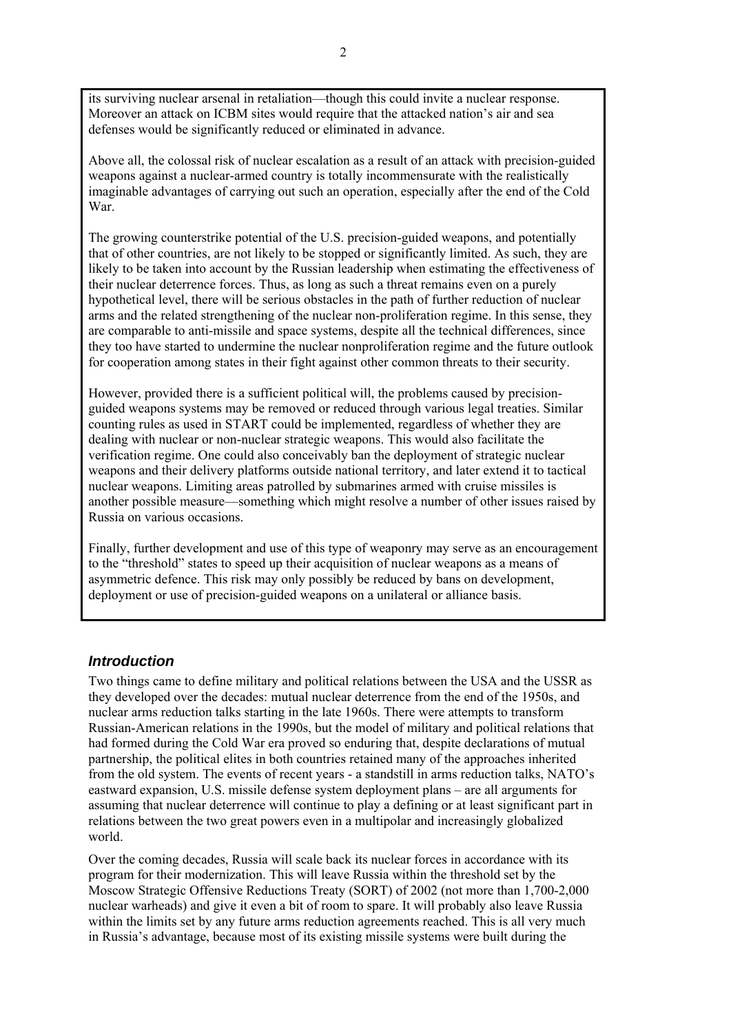its surviving nuclear arsenal in retaliation—though this could invite a nuclear response. Moreover an attack on ICBM sites would require that the attacked nation's air and sea defenses would be significantly reduced or eliminated in advance.

Above all, the colossal risk of nuclear escalation as a result of an attack with precision-guided weapons against a nuclear-armed country is totally incommensurate with the realistically imaginable advantages of carrying out such an operation, especially after the end of the Cold War.

The growing counterstrike potential of the U.S. precision-guided weapons, and potentially that of other countries, are not likely to be stopped or significantly limited. As such, they are likely to be taken into account by the Russian leadership when estimating the effectiveness of their nuclear deterrence forces. Thus, as long as such a threat remains even on a purely hypothetical level, there will be serious obstacles in the path of further reduction of nuclear arms and the related strengthening of the nuclear non-proliferation regime. In this sense, they are comparable to anti-missile and space systems, despite all the technical differences, since they too have started to undermine the nuclear nonproliferation regime and the future outlook for cooperation among states in their fight against other common threats to their security.

However, provided there is a sufficient political will, the problems caused by precisionguided weapons systems may be removed or reduced through various legal treaties. Similar counting rules as used in START could be implemented, regardless of whether they are dealing with nuclear or non-nuclear strategic weapons. This would also facilitate the verification regime. One could also conceivably ban the deployment of strategic nuclear weapons and their delivery platforms outside national territory, and later extend it to tactical nuclear weapons. Limiting areas patrolled by submarines armed with cruise missiles is another possible measure—something which might resolve a number of other issues raised by Russia on various occasions.

Finally, further development and use of this type of weaponry may serve as an encouragement to the "threshold" states to speed up their acquisition of nuclear weapons as a means of asymmetric defence. This risk may only possibly be reduced by bans on development, deployment or use of precision-guided weapons on a unilateral or alliance basis.

## *Introduction*

Two things came to define military and political relations between the USA and the USSR as they developed over the decades: mutual nuclear deterrence from the end of the 1950s, and nuclear arms reduction talks starting in the late 1960s. There were attempts to transform Russian-American relations in the 1990s, but the model of military and political relations that had formed during the Cold War era proved so enduring that, despite declarations of mutual partnership, the political elites in both countries retained many of the approaches inherited from the old system. The events of recent years - a standstill in arms reduction talks, NATO's eastward expansion, U.S. missile defense system deployment plans – are all arguments for assuming that nuclear deterrence will continue to play a defining or at least significant part in relations between the two great powers even in a multipolar and increasingly globalized world.

Over the coming decades, Russia will scale back its nuclear forces in accordance with its program for their modernization. This will leave Russia within the threshold set by the Moscow Strategic Offensive Reductions Treaty (SORT) of 2002 (not more than 1,700-2,000 nuclear warheads) and give it even a bit of room to spare. It will probably also leave Russia within the limits set by any future arms reduction agreements reached. This is all very much in Russia's advantage, because most of its existing missile systems were built during the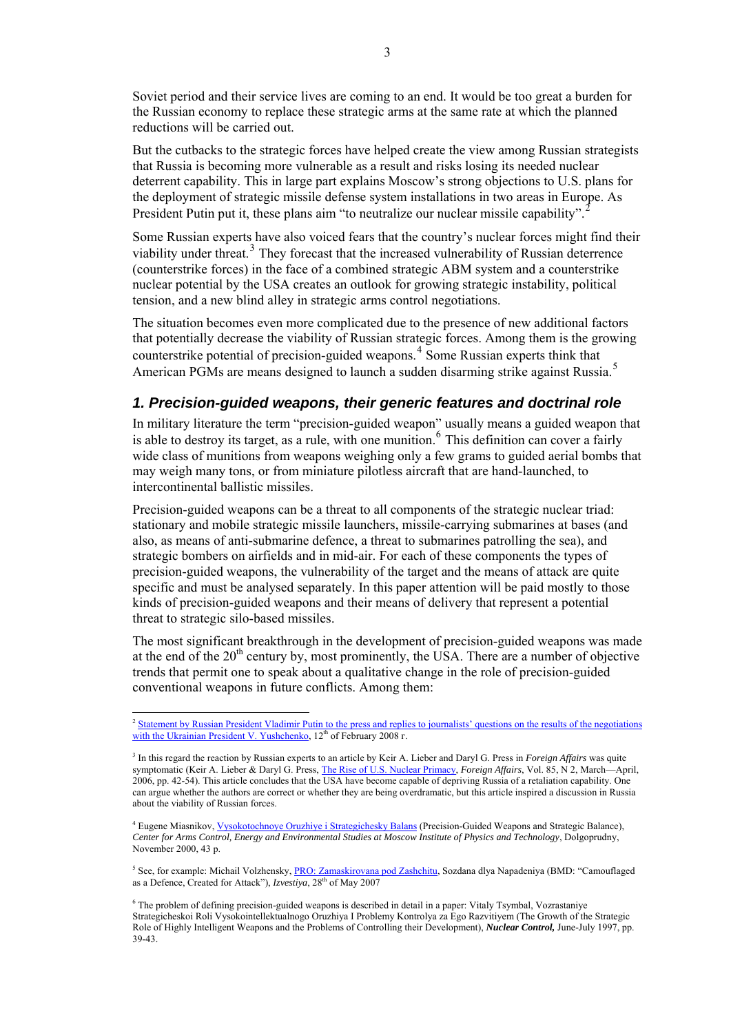Soviet period and their service lives are coming to an end. It would be too great a burden for the Russian economy to replace these strategic arms at the same rate at which the planned reductions will be carried out.

But the cutbacks to the strategic forces have helped create the view among Russian strategists that Russia is becoming more vulnerable as a result and risks losing its needed nuclear deterrent capability. This in large part explains Moscow's strong objections to U.S. plans for the deployment of strategic missile defense system installations in two areas in Europe. As President Putin put it, these plans aim "to neutralize our nuclear missile capability".

Some Russian experts have also voiced fears that the country's nuclear forces might find their viability under threat.<sup>[3](#page-2-1)</sup> They forecast that the increased vulnerability of Russian deterrence (counterstrike forces) in the face of a combined strategic ABM system and a counterstrike nuclear potential by the USA creates an outlook for growing strategic instability, political tension, and a new blind alley in strategic arms control negotiations.

The situation becomes even more complicated due to the presence of new additional factors that potentially decrease the viability of Russian strategic forces. Among them is the growing counterstrike potential of precision-guided weapons.[4](#page-2-2) Some Russian experts think that American PGMs are means designed to launch a sudden disarming strike against Russia.[5](#page-2-3)

# *1. Precision-guided weapons, their generic features and doctrinal role*

In military literature the term "precision-guided weapon" usually means a guided weapon that is able to destroy its target, as a rule, with one munition.<sup>[6](#page-2-4)</sup> This definition can cover a fairly wide class of munitions from weapons weighing only a few grams to guided aerial bombs that may weigh many tons, or from miniature pilotless aircraft that are hand-launched, to intercontinental ballistic missiles.

Precision-guided weapons can be a threat to all components of the strategic nuclear triad: stationary and mobile strategic missile launchers, missile-carrying submarines at bases (and also, as means of anti-submarine defence, a threat to submarines patrolling the sea), and strategic bombers on airfields and in mid-air. For each of these components the types of precision-guided weapons, the vulnerability of the target and the means of attack are quite specific and must be analysed separately. In this paper attention will be paid mostly to those kinds of precision-guided weapons and their means of delivery that represent a potential threat to strategic silo-based missiles.

The most significant breakthrough in the development of precision-guided weapons was made at the end of the  $20<sup>th</sup>$  century by, most prominently, the USA. There are a number of objective trends that permit one to speak about a qualitative change in the role of precision-guided conventional weapons in future conflicts. Among them:

-

<span id="page-2-0"></span><sup>2</sup> [Statement by Russian President Vladimir Putin to the press and replies to journalists' questions on the results of the negotiations](http://www.kremlin.ru/appears/2008/02/12/2027_type63377_160013.shtml)  [with the Ukrainian President V. Yushchenko,](http://www.kremlin.ru/appears/2008/02/12/2027_type63377_160013.shtml) 12<sup>th</sup> of February 2008 г.

<span id="page-2-1"></span><sup>3</sup> In this regard the reaction by Russian experts to an article by Keir A. Lieber and Daryl G. Press in *Foreign Affairs* was quite symptomatic (Keir A. Lieber & Daryl G. Press, [The Rise of U.S. Nuclear Primacy](http://www.foreignaffairs.com/articles/61508/keir-a-lieber-and-daryl-g-press/the-rise-of-us-nuclear-primacy), *Foreign Affairs*, Vol. 85, N 2, March—April, 2006, pp. 42-54). This article concludes that the USA have become capable of depriving Russia of a retaliation capability. One can argue whether the authors are correct or whether they are being overdramatic, but this article inspired a discussion in Russia about the viability of Russian forces.

<span id="page-2-2"></span><sup>&</sup>lt;sup>4</sup> Eugene Miasnikov, *Vysokotochnoye Oruzhiye i Strategichesky Balans* (Precision-Guided Weapons and Strategic Balance), *Center for Arms Control, Energy and Environmental Studies at Moscow Institute of Physics and Technology*, Dolgoprudny, November 2000, 43 p.

<span id="page-2-3"></span><sup>&</sup>lt;sup>5</sup> See, for example: Michail Volzhensky, [PRO: Zamaskirovana pod Zashchitu](http://www.izvestia.ru/politic/article3104617/), Sozdana dlya Napadeniya (BMD: "Camouflaged as a Defence, Created for Attack"), *Izvestiva*, 28<sup>th</sup> of May 2007

<span id="page-2-4"></span><sup>6</sup> The problem of defining precision-guided weapons is described in detail in a paper: Vitaly Tsymbal, Vozrastaniye Strategicheskoi Roli Vysokointellektualnogo Oruzhiya I Problemy Kontrolya za Ego Razvitiyem (The Growth of the Strategic Role of Highly Intelligent Weapons and the Problems of Controlling their Development), *Nuclear Control,* June-July 1997, pp. 39-43.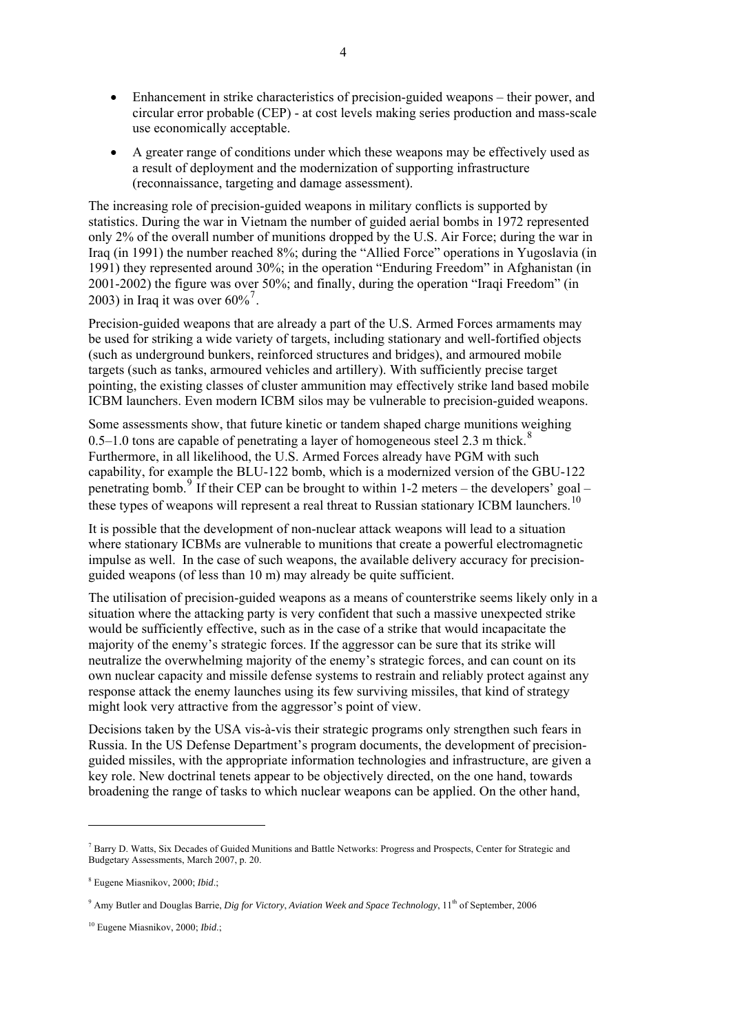- Enhancement in strike characteristics of precision-guided weapons their power, and circular error probable (CEP) - at cost levels making series production and mass-scale use economically acceptable.
- A greater range of conditions under which these weapons may be effectively used as a result of deployment and the modernization of supporting infrastructure (reconnaissance, targeting and damage assessment).

The increasing role of precision-guided weapons in military conflicts is supported by statistics. During the war in Vietnam the number of guided aerial bombs in 1972 represented only 2% of the overall number of munitions dropped by the U.S. Air Force; during the war in Iraq (in 1991) the number reached 8%; during the "Allied Force" operations in Yugoslavia (in 1991) they represented around 30%; in the operation "Enduring Freedom" in Afghanistan (in 2001-2002) the figure was over 50%; and finally, during the operation "Iraqi Freedom" (in 2003) in Iraq it was over  $60\%$ <sup>[7](#page-3-0)</sup>.

Precision-guided weapons that are already a part of the U.S. Armed Forces armaments may be used for striking a wide variety of targets, including stationary and well-fortified objects (such as underground bunkers, reinforced structures and bridges), and armoured mobile targets (such as tanks, armoured vehicles and artillery). With sufficiently precise target pointing, the existing classes of cluster ammunition may effectively strike land based mobile ICBM launchers. Even modern ICBM silos may be vulnerable to precision-guided weapons.

Some assessments show, that future kinetic or tandem shaped charge munitions weighing 0.5–1.0 tons are capable of penetrating a layer of homogeneous steel 2.3 m thick.<sup>[8](#page-3-1)</sup> Furthermore, in all likelihood, the U.S. Armed Forces already have PGM with such capability, for example the BLU-122 bomb, which is a modernized version of the GBU-122 penetrating bomb.<sup>[9](#page-3-2)</sup> If their CEP can be brought to within 1-2 meters – the developers' goal – these types of weapons will represent a real threat to Russian stationary ICBM launchers.<sup>[10](#page-3-3)</sup>

It is possible that the development of non-nuclear attack weapons will lead to a situation where stationary ICBMs are vulnerable to munitions that create a powerful electromagnetic impulse as well. In the case of such weapons, the available delivery accuracy for precisionguided weapons (of less than 10 m) may already be quite sufficient.

The utilisation of precision-guided weapons as a means of counterstrike seems likely only in a situation where the attacking party is very confident that such a massive unexpected strike would be sufficiently effective, such as in the case of a strike that would incapacitate the majority of the enemy's strategic forces. If the aggressor can be sure that its strike will neutralize the overwhelming majority of the enemy's strategic forces, and can count on its own nuclear capacity and missile defense systems to restrain and reliably protect against any response attack the enemy launches using its few surviving missiles, that kind of strategy might look very attractive from the aggressor's point of view.

Decisions taken by the USA vis-à-vis their strategic programs only strengthen such fears in Russia. In the US Defense Department's program documents, the development of precisionguided missiles, with the appropriate information technologies and infrastructure, are given a key role. New doctrinal tenets appear to be objectively directed, on the one hand, towards broadening the range of tasks to which nuclear weapons can be applied. On the other hand,

<span id="page-3-0"></span><sup>&</sup>lt;sup>7</sup> Barry D. Watts, Six Decades of Guided Munitions and Battle Networks: Progress and Prospects, Center for Strategic and Budgetary Assessments, March 2007, p. 20.

<span id="page-3-1"></span><sup>8</sup> Eugene Miasnikov, 2000; *Ibid*.;

<span id="page-3-2"></span><sup>&</sup>lt;sup>9</sup> Amy Butler and Douglas Barrie, *Dig for Victory, Aviation Week and Space Technology*, 11<sup>th</sup> of September, 2006

<span id="page-3-3"></span><sup>10</sup> Eugene Miasnikov, 2000; *Ibid*.;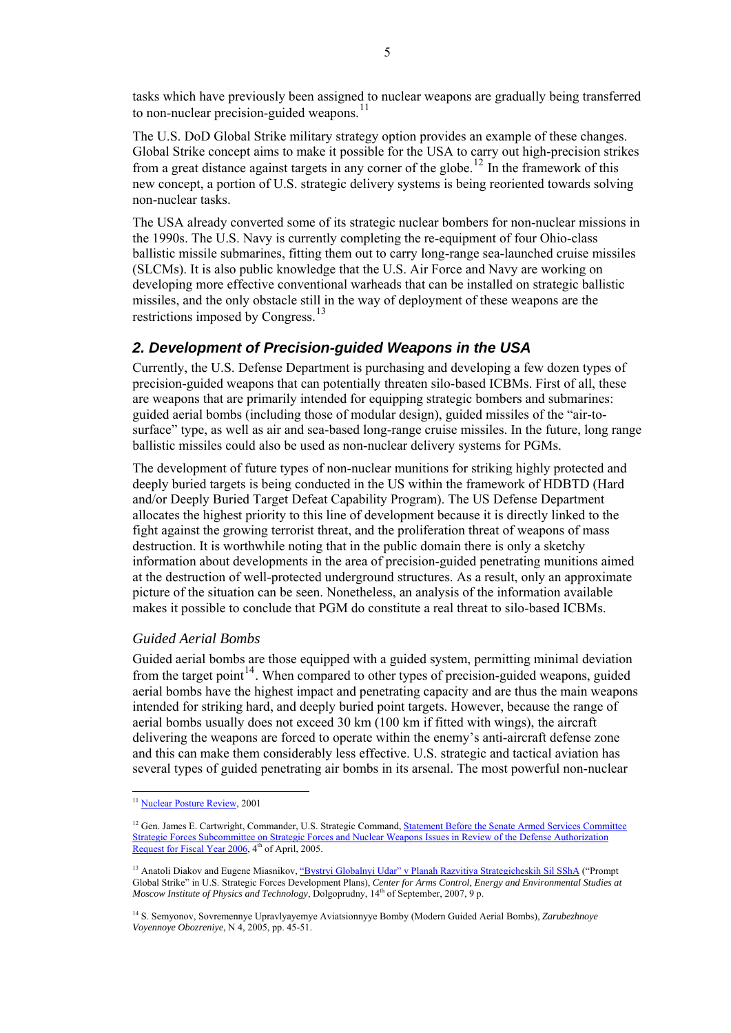tasks which have previously been assigned to nuclear weapons are gradually being transferred to non-nuclear precision-guided weapons. $^{11}$  $^{11}$  $^{11}$ 

The U.S. DoD Global Strike military strategy option provides an example of these changes. Global Strike concept aims to make it possible for the USA to carry out high-precision strikes from a great distance against targets in any corner of the globe.<sup>[12](#page-4-1)</sup> In the framework of this new concept, a portion of U.S. strategic delivery systems is being reoriented towards solving non-nuclear tasks.

The USA already converted some of its strategic nuclear bombers for non-nuclear missions in the 1990s. The U.S. Navy is currently completing the re-equipment of four Ohio-class ballistic missile submarines, fitting them out to carry long-range sea-launched cruise missiles (SLCMs). It is also public knowledge that the U.S. Air Force and Navy are working on developing more effective conventional warheads that can be installed on strategic ballistic missiles, and the only obstacle still in the way of deployment of these weapons are the restrictions imposed by Congress.<sup>[13](#page-4-2)</sup>

# *2. Development of Precision-guided Weapons in the USA*

Currently, the U.S. Defense Department is purchasing and developing a few dozen types of precision-guided weapons that can potentially threaten silo-based ICBMs. First of all, these are weapons that are primarily intended for equipping strategic bombers and submarines: guided aerial bombs (including those of modular design), guided missiles of the "[air-to](http://www.multitran.ru/c/m.exe?t=1185472_1_2)[surface"](http://www.multitran.ru/c/m.exe?t=1185472_1_2) type, as well as air and sea-based long-range cruise missiles. In the future, long range ballistic missiles could also be used as non-nuclear delivery systems for PGMs.

The development of future types of non-nuclear munitions for striking highly protected and deeply buried targets is being conducted in the US within the framework of HDBTD (Hard and/or Deeply Buried Target Defeat Capability Program). The US Defense Department allocates the highest priority to this line of development because it is directly linked to the fight against the growing terrorist threat, and the proliferation threat of weapons of mass destruction. It is worthwhile noting that in the public domain there is only a sketchy information about developments in the area of precision-guided penetrating munitions aimed at the destruction of well-protected underground structures. As a result, only an approximate picture of the situation can be seen. Nonetheless, an analysis of the information available makes it possible to conclude that PGM do constitute a real threat to silo-based ICBMs.

#### *Guided Aerial Bombs*

Guided aerial bombs are those equipped with a guided system, permitting minimal deviation from the target point<sup>[14](#page-4-3)</sup>. When compared to other types of precision-guided weapons, guided aerial bombs have the highest impact and penetrating capacity and are thus the main weapons intended for striking hard, and deeply buried point targets. However, because the range of aerial bombs usually does not exceed 30 km (100 km if fitted with wings), the aircraft delivering the weapons are forced to operate within the enemy's anti-aircraft defense zone and this can make them considerably less effective. U.S. strategic and tactical aviation has several types of guided penetrating air bombs in its arsenal. The most powerful non-nuclear

<span id="page-4-0"></span><sup>&</sup>lt;sup>11</sup> [Nuclear Posture Review,](http://www.globalsecurity.org/wmd/library/policy/dod/npr.htm) 2001

<span id="page-4-1"></span><sup>&</sup>lt;sup>12</sup> Gen. James E. Cartwright, Commander, U.S. Strategic Command, **Statement Before the Senate Armed Services Committee** [Strategic Forces Subcommittee on Strategic Forces and Nuclear Weapons Issues in Review of the Defense Authorization](http://armed-services.senate.gov/statemnt/2005/April/Cartwright%2004-04-05.pdf)  [Request for Fiscal Year 2006,](http://armed-services.senate.gov/statemnt/2005/April/Cartwright%2004-04-05.pdf)  $4<sup>th</sup>$  of April, 2005.

<span id="page-4-2"></span><sup>&</sup>lt;sup>13</sup> Anatoli Diakov and Eugene Miasnikov, ["Bystryi Globalnyi Udar" v Planah Razvitiya Strategicheskih Sil SShA](http://www.armscontrol.ru/pubs/pgs.pdf) ("Prompt Global Strike" in U.S. Strategic Forces Development Plans), *Center for Arms Control, Energy and Environmental Studies at Moscow Institute of Physics and Technology*, Dolgoprudny, 14<sup>th</sup> of September, 2007, 9 p.

<span id="page-4-3"></span><sup>14</sup> S. Semyonov, Sovremennye Upravlyayemye Aviatsionnyye Bomby (Modern Guided Aerial Bombs), *Zarubezhnoye Voyennoye Obozreniye*, N 4, 2005, pp. 45-51.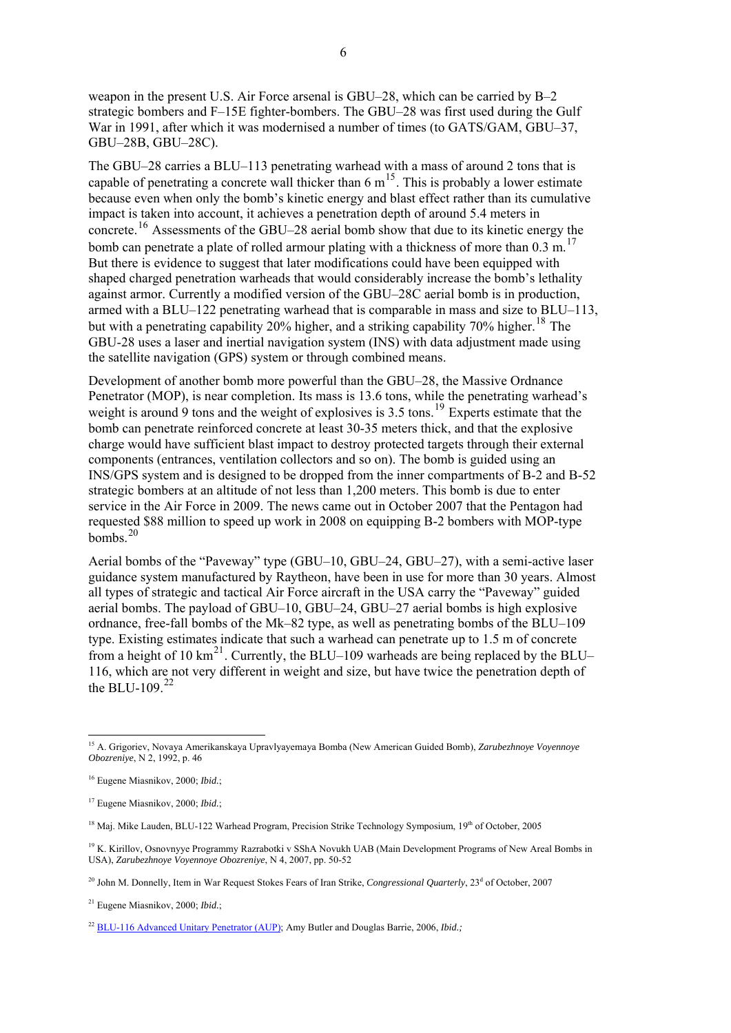weapon in the present U.S. Air Force arsenal is GBU–28, which can be carried by B–2 strategic bombers and F–15E fighter-bombers. The GBU–28 was first used during the Gulf War in 1991, after which it was modernised a number of times (to GATS/GAM, GBU–37, GBU–28B, GBU–28C).

The GBU–28 carries a BLU–113 penetrating warhead with a mass of around 2 tons that is capable of penetrating a concrete wall thicker than  $6 \text{ m}^{15}$  $6 \text{ m}^{15}$  $6 \text{ m}^{15}$ . This is probably a lower estimate because even when only the bomb's kinetic energy and blast effect rather than its cumulative impact is taken into account, it achieves a penetration depth of around 5.4 meters in concrete.[16](#page-5-1) Assessments of the GBU–28 aerial bomb show that due to its kinetic energy the bomb can penetrate a plate of rolled armour plating with a thickness of more than  $0.3 \text{ m}$ .<sup>[17](#page-5-2)</sup> But there is evidence to suggest that later modifications could have been equipped with shaped charged penetration warheads that would considerably increase the bomb's lethality against armor. Currently a modified version of the GBU–28C aerial bomb is in production, armed with a BLU–122 penetrating warhead that is comparable in mass and size to BLU–113, but with a penetrating capability  $20\%$  higher, and a striking capability 70% higher.<sup>[18](#page-5-3)</sup> The GBU-28 uses a laser and inertial navigation system (INS) with data adjustment made using the satellite navigation (GPS) system or through combined means.

Development of another bomb more powerful than the GBU–28, the Massive Ordnance Penetrator (MOP), is near completion. Its mass is 13.6 tons, while the penetrating warhead's weight is around 9 tons and the weight of explosives is  $3.5$  tons.<sup>[19](#page-5-4)</sup> Experts estimate that the bomb can penetrate reinforced concrete at least 30-35 meters thick, and that the explosive charge would have sufficient blast impact to destroy protected targets through their external components (entrances, ventilation collectors and so on). The bomb is guided using an INS/GPS system and is designed to be dropped from the inner compartments of B-2 and B-52 strategic bombers at an altitude of not less than 1,200 meters. This bomb is due to enter service in the Air Force in 2009. The news came out in October 2007 that the Pentagon had requested \$88 million to speed up work in 2008 on equipping B-2 bombers with MOP-type  $hombs<sup>20</sup>$  $hombs<sup>20</sup>$  $hombs<sup>20</sup>$ 

Aerial bombs of the "Paveway" type (GBU–10, GBU–24, GBU–27), with a semi-active laser guidance system manufactured by Raytheon, have been in use for more than 30 years. Almost all types of strategic and tactical Air Force aircraft in the USA carry the "Paveway" guided aerial bombs. The payload of GBU–10, GBU–24, GBU–27 aerial bombs is high explosive ordnance, free-fall bombs of the Mk–82 type, as well as penetrating bombs of the BLU–109 type. Existing estimates indicate that such a warhead can penetrate up to 1.5 m of concrete from a height of 10 km<sup>[21](#page-5-6)</sup>. Currently, the BLU–109 warheads are being replaced by the BLU– 116, which are not very different in weight and size, but have twice the penetration depth of the BLU-109. $^{22}$  $^{22}$  $^{22}$ 

-

<span id="page-5-0"></span><sup>15</sup> A. Grigoriev, Novaya Amerikanskaya Upravlyayemaya Bomba (New American Guided Bomb), *Zarubezhnoye Voyennoye Obozreniye*, N 2, 1992, p. 46

<span id="page-5-1"></span><sup>16</sup> Eugene Miasnikov, 2000; *Ibid.*;

<span id="page-5-2"></span><sup>17</sup> Eugene Miasnikov, 2000; *Ibid.*;

<span id="page-5-3"></span><sup>&</sup>lt;sup>18</sup> Maj. Mike Lauden, BLU-122 Warhead Program, Precision Strike Technology Symposium, 19<sup>th</sup> of October, 2005

<span id="page-5-4"></span><sup>&</sup>lt;sup>19</sup> K. Kirillov, Osnovnyye Programmy Razrabotki v SShA Novukh UAB (Main Development Programs of New Areal Bombs in USA), *Zarubezhnoye Voyennoye Obozreniye*, N 4, 2007, pp. 50-52

<span id="page-5-5"></span><sup>&</sup>lt;sup>20</sup> John M. Donnelly, Item in War Request Stokes Fears of Iran Strike, *Congressional Quarterly*, 23<sup>d</sup> of October, 2007

<span id="page-5-6"></span><sup>21</sup> Eugene Miasnikov, 2000; *Ibid.*;

<span id="page-5-7"></span><sup>&</sup>lt;sup>22</sup> [BLU-116 Advanced Unitary Penetrator \(AUP\);](http://www.globalsecurity.org/military/systems/munitions/blu-116.htm) Amy Butler and Douglas Barrie, 2006, *Ibid.*;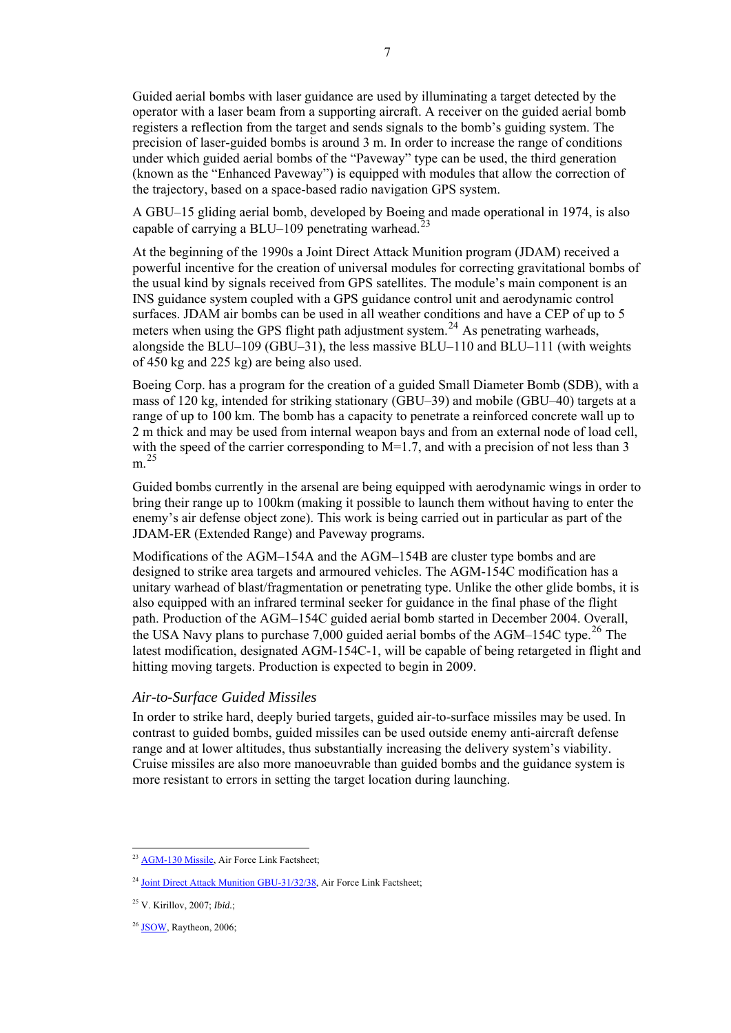Guided aerial bombs with laser guidance are used by illuminating a target detected by the operator with a laser beam from a supporting aircraft. A receiver on the guided aerial bomb registers a reflection from the target and sends signals to the bomb's guiding system. The precision of laser-guided bombs is around 3 m. In order to increase the range of conditions under which guided aerial bombs of the "Paveway" type can be used, the third generation (known as the "Enhanced Paveway") is equipped with modules that allow the correction of the trajectory, based on a space-based radio navigation GPS system.

A GBU–15 gliding aerial bomb, developed by Boeing and made operational in 1974, is also capable of carrying a BLU–109 penetrating warhead.<sup>2</sup>

At the beginning of the 1990s a Joint Direct Attack Munition program (JDAM) received a powerful incentive for the creation of universal modules for correcting gravitational bombs of the usual kind by signals received from GPS satellites. The module's main component is an INS guidance system coupled with a GPS guidance control unit and aerodynamic control surfaces. JDAM air bombs can be used in all weather conditions and have a CEP of up to 5 meters when using the GPS flight path adjustment system.<sup>[24](#page-6-1)</sup> As penetrating warheads, alongside the BLU–109 (GBU–31), the less massive BLU–110 and BLU–111 (with weights of 450 kg and 225 kg) are being also used.

Boeing Corp. has a program for the creation of a guided Small Diameter Bomb (SDB), with a mass of 120 kg, intended for striking stationary (GBU–39) and mobile (GBU–40) targets at a range of up to 100 km. The bomb has a capacity to penetrate a reinforced concrete wall up to 2 m thick and may be used from internal weapon bays and from an external node of load cell, with the speed of the carrier corresponding to  $M=1.7$ , and with a precision of not less than 3 m. [25](#page-6-2)

Guided bombs currently in the arsenal are being equipped with aerodynamic wings in order to bring their range up to 100km (making it possible to launch them without having to enter the enemy's air defense object zone). This work is being carried out in particular as part of the JDAM-ER (Extended Range) and Paveway programs.

Modifications of the AGM–154A and the AGM–154B are cluster type bombs and are designed to strike area targets and armoured vehicles. The AGM-154C modification has a unitary warhead of blast/fragmentation or penetrating type. Unlike the other glide bombs, it is also equipped with an infrared terminal seeker for guidance in the final phase of the flight path. Production of the AGM–154С guided aerial bomb started in December 2004. Overall, the USA Navy plans to purchase 7,000 guided aerial bombs of the AGM–154C type.<sup>[26](#page-6-3)</sup> The latest modification, designated AGM-154С-1, will be capable of being retargeted in flight and hitting moving targets. Production is expected to begin in 2009.

## *Air-to-Surface Guided Missiles*

In order to strike hard, deeply buried targets, guided air-to-surface missiles may be used. In contrast to guided bombs, guided missiles can be used outside enemy anti-aircraft defense range and at lower altitudes, thus substantially increasing the delivery system's viability. Cruise missiles are also more manoeuvrable than guided bombs and the guidance system is more resistant to errors in setting the target location during launching.

<span id="page-6-0"></span><sup>1</sup> <sup>23</sup> [AGM-130 Missile,](http://www.af.mil/factsheets/factsheet.asp?fsID=105) Air Force Link Factsheet;

<sup>&</sup>lt;sup>24</sup> [Joint Direct Attack Munition GBU-31/32/38,](http://www.af.mil/factsheets/factsheet.asp?fsID=108) Air Force Link Factsheet;

<span id="page-6-2"></span><span id="page-6-1"></span><sup>25</sup> V. Kirillov, 2007; *Ibid.*;

<span id="page-6-3"></span><sup>&</sup>lt;sup>26</sup> [JSOW,](http://www.raytheon.com/products/stellent/groups/public/documents/content/cms01_055754.pdf) Raytheon, 2006;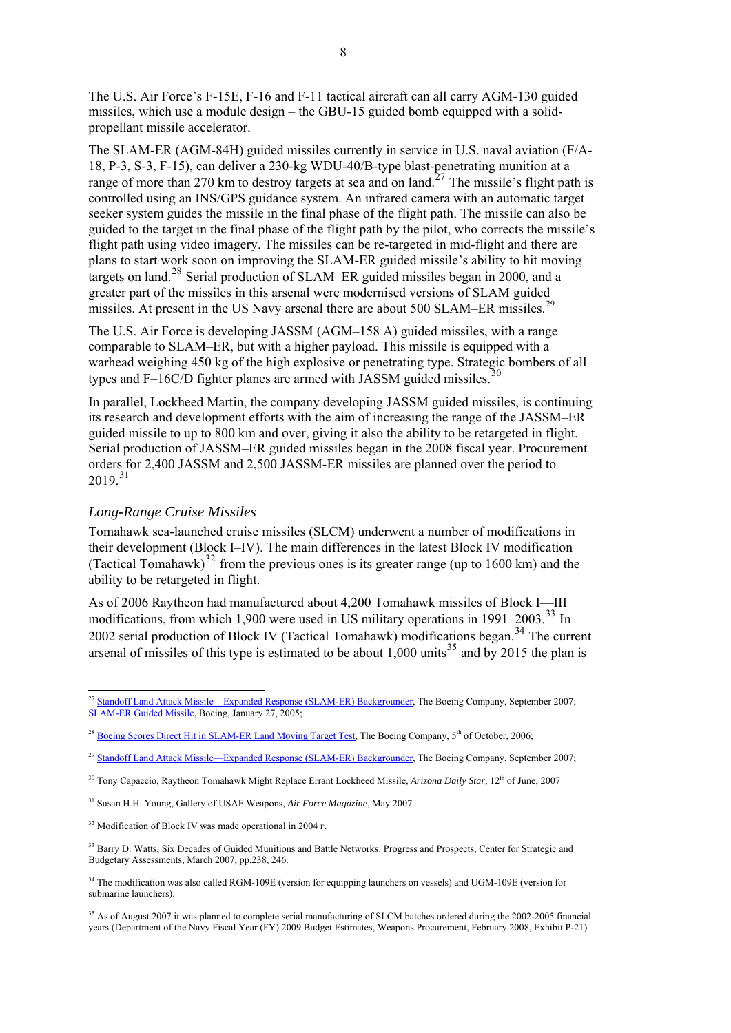The U.S. Air Force's F-15E, F-16 and F-11 tactical aircraft can all carry AGM-130 guided missiles, which use a module design – the GBU-15 guided bomb equipped with a solidpropellant missile accelerator.

The SLAM-ER (AGM-84H) guided missiles currently in service in U.S. naval aviation (F/A-18, P-3, S-3, F-15), can deliver a 230-kg WDU-40/B-type blast-penetrating munition at a range of more than [27](#page-7-0)0 km to destroy targets at sea and on land.<sup>27</sup> The missile's flight path is controlled using an INS/GPS guidance system. An infrared camera with an automatic target seeker system guides the missile in the final phase of the flight path. The missile can also be guided to the target in the final phase of the flight path by the pilot, who corrects the missile's flight path using video imagery. The missiles can be re-targeted in mid-flight and there are plans to start work soon on improving the SLAM-ER guided missile's ability to hit moving targets on land.<sup>[28](#page-7-1)</sup> Serial production of SLAM–ER guided missiles began in 2000, and a greater part of the missiles in this arsenal were modernised versions of SLAM guided missiles. At present in the US Navy arsenal there are about 500 SLAM–ER missiles.<sup>[29](#page-7-2)</sup>

The U.S. Air Force is developing JASSM (AGM–158 A) guided missiles, with a range comparable to SLAM–ER, but with a higher payload. This missile is equipped with a warhead weighing 450 kg of the high explosive or penetrating type. Strategic bombers of all types and F-16C/D fighter planes are armed with JASSM guided missiles.

In parallel, Lockheed Martin, the company developing JASSM guided missiles, is continuing its research and development efforts with the aim of increasing the range of the JASSM–ER guided missile to up to 800 km and over, giving it also the ability to be retargeted in flight. Serial production of JASSM–ER guided missiles began in the 2008 fiscal year. Procurement orders for 2,400 JASSM and 2,500 JASSM-ER missiles are planned over the period to  $2019^{31}$  $2019^{31}$  $2019^{31}$ 

## *Long-Range Cruise Missiles*

Tomahawk sea-launched cruise missiles (SLCM) underwent a number of modifications in their development (Block I–IV). The main differences in the latest Block IV modification (Tactical Tomahawk)<sup>[32](#page-7-5)</sup> from the previous ones is its greater range (up to 1600 km) and the ability to be retargeted in flight.

As of 2006 Raytheon had manufactured about 4,200 Tomahawk missiles of Block I—III modifications, from which 1,900 were used in US military operations in  $1991-2003$ .<sup>[33](#page-7-6)</sup> In 2002 serial production of Block IV (Tactical Tomahawk) modifications began.<sup>[34](#page-7-7)</sup> The current arsenal of missiles of this type is estimated to be about  $1.000$  units<sup>[35](#page-7-8)</sup> and by 2015 the plan is

<span id="page-7-0"></span><sup>-</sup><sup>27</sup> [Standoff Land Attack Missile—Expanded Response \(SLAM-ER\) Backgrounder](http://www.boeing.com/defense-space/missiles/slam/docs/SLAM-ER_overview.pdf), The Boeing Company, September 2007; [SLAM-ER Guided Missile](http://www.defense-update.com/products/s/slam-er.htm), Boeing, January 27, 2005;

<span id="page-7-1"></span><sup>&</sup>lt;sup>28</sup> [Boeing Scores Direct Hit in SLAM-ER Land Moving Target Test,](http://www.boeing.com/defense-space/missiles/slam/news/2006/q4/061005a_nr.html) The Boeing Company, 5<sup>th</sup> of October, 2006;

<span id="page-7-2"></span><sup>&</sup>lt;sup>29</sup> [Standoff Land Attack Missile—Expanded Response \(SLAM-ER\) Backgrounder](http://www.boeing.com/defense-space/missiles/slam/docs/SLAM-ER_overview.pdf), The Boeing Company, September 2007;

<span id="page-7-3"></span><sup>&</sup>lt;sup>30</sup> Tony Capaccio, Raytheon Tomahawk Might Replace Errant Lockheed Missile, *Arizona Daily Star*, 12<sup>th</sup> of June, 2007

<span id="page-7-4"></span><sup>31</sup> Susan H.H. Young, Gallery of USAF Weapons, *Air Force Magazine*, May 2007

<span id="page-7-5"></span><sup>&</sup>lt;sup>32</sup> Modification of Block IV was made operational in 2004 г.

<span id="page-7-6"></span><sup>&</sup>lt;sup>33</sup> Barry D. Watts, Six Decades of Guided Munitions and Battle Networks: Progress and Prospects, Center for Strategic and Budgetary Assessments, March 2007, pp.238, 246.

<span id="page-7-7"></span><sup>&</sup>lt;sup>34</sup> The modification was also called RGM-109E (version for equipping launchers on vessels) and UGM-109E (version for submarine launchers).

<span id="page-7-8"></span><sup>&</sup>lt;sup>35</sup> As of August 2007 it was planned to complete serial manufacturing of SLCM batches ordered during the 2002-2005 financial years (Department of the Navy Fiscal Year (FY) 2009 Budget Estimates, Weapons Procurement, February 2008, Exhibit P-21)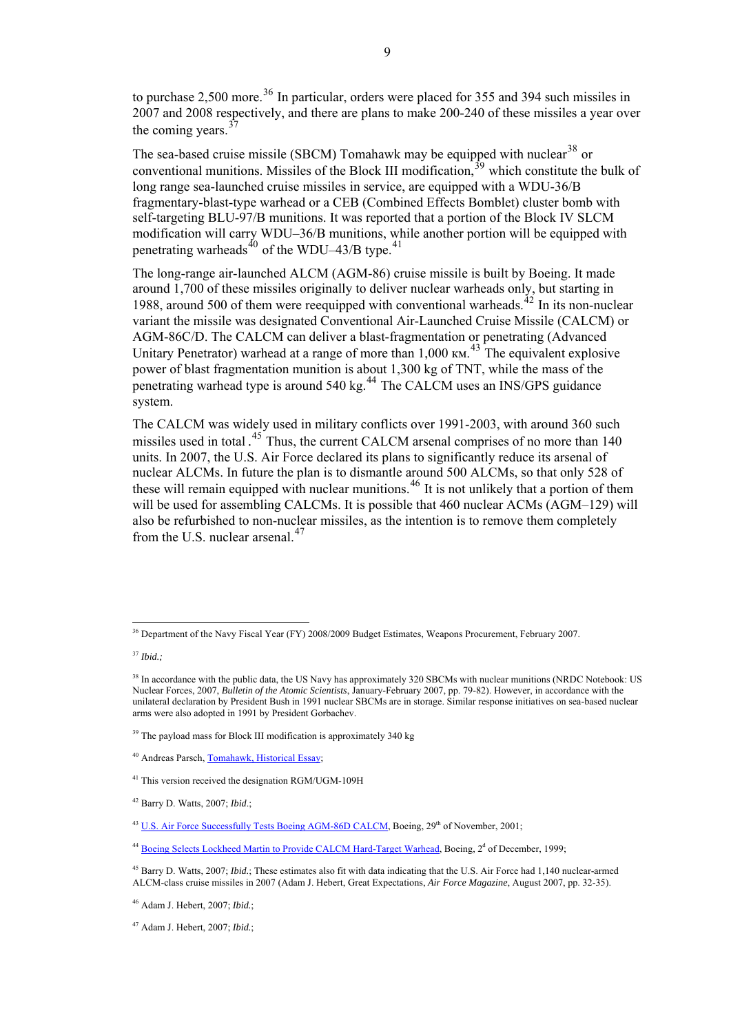to purchase 2,500 more.<sup>[36](#page-8-0)</sup> In particular, orders were placed for 355 and 394 such missiles in 2007 and 2008 respectively, and there are plans to make 200-240 of these missiles a year over the coming years.  $37$ 

The sea-based cruise missile (SBCM) Tomahawk may be equipped with nuclear<sup>[38](#page-8-2)</sup> or conventional munitions. Missiles of the Block III modification,  $39$  which constitute the bulk of long range sea-launched cruise missiles in service, are equipped with a WDU-36/B fragmentary-blast-type warhead or a CEB (Combined Effects Bomblet) cluster bomb with self-targeting BLU-97/B munitions. It was reported that a portion of the Block IV SLCM modification will carry WDU–36/B munitions, while another portion will be equipped with penetrating warheads<sup>[40](#page-8-4)</sup> of the WDU–43/B type.<sup>[41](#page-8-5)</sup>

The long-range air-launched ALCM (AGM-86) cruise missile is built by Boeing. It made around 1,700 of these missiles originally to deliver nuclear warheads only, but starting in 1988, around 500 of them were reequipped with conventional warheads.<sup>[42](#page-8-6)</sup> In its non-nuclear variant the missile was designated Conventional Air-Launched Cruise Missile (CALCM) or AGM-86C/D. The CALCM can deliver a blast-fragmentation or penetrating (Advanced Unitary Penetrator) warhead at a range of more than  $1,000 \text{ km}$ . <sup>[43](#page-8-7)</sup> The equivalent explosive power of blast fragmentation munition is about 1,300 kg of TNT, while the mass of the power of onest highlending mainten is accepted. The CALCM uses an INS/GPS guidance system.

The CALCM was widely used in military conflicts over 1991-2003, with around 360 such missiles used in total .<sup>[45](#page-8-9)</sup> Thus, the current CALCM arsenal comprises of no more than 140 units. In 2007, the U.S. Air Force declared its plans to significantly reduce its arsenal of nuclear ALCMs. In future the plan is to dismantle around 500 ALCMs, so that only 528 of these will remain equipped with nuclear munitions.<sup>[46](#page-8-10)</sup> It is not unlikely that a portion of them will be used for assembling CALCMs. It is possible that 460 nuclear ACMs (AGM–129) will also be refurbished to non-nuclear missiles, as the intention is to remove them completely from the U.S. nuclear arsenal. $47$ 

<sup>&</sup>lt;sup>36</sup> Department of the Navy Fiscal Year (FY) 2008/2009 Budget Estimates, Weapons Procurement, February 2007.

<span id="page-8-1"></span><span id="page-8-0"></span><sup>37</sup> *Ibid.;* 

<span id="page-8-2"></span><sup>&</sup>lt;sup>38</sup> In accordance with the public data, the US Navy has approximately 320 SBCMs with nuclear munitions (NRDC Notebook: US Nuclear Forces, 2007, *Bulletin of the Atomic Scientists*, January-February 2007, pp. 79-82). However, in accordance with the unilateral declaration by President Bush in 1991 nuclear SBCMs are in storage. Similar response initiatives on sea-based nuclear arms were also adopted in 1991 by President Gorbachev.

<span id="page-8-3"></span> $39$  The payload mass for Block III modification is approximately 340 kg

<span id="page-8-4"></span><sup>40</sup> Andreas Parsch, [Tomahawk, Historical Essay](http://www.astronautix.com/lvs/tomahawk.htm);

<span id="page-8-5"></span><sup>41</sup> This version received the designation RGM/UGM-109H

<span id="page-8-6"></span><sup>42</sup> Barry D. Watts, 2007; *Ibid*.;

<span id="page-8-7"></span><sup>&</sup>lt;sup>43</sup> [U.S. Air Force Successfully Tests Boeing AGM-86D CALCM](http://www.boeing.com/news/releases/2001/q4/nr_011129n.htm), Boeing, 29<sup>th</sup> of November, 2001;

<span id="page-8-8"></span><sup>&</sup>lt;sup>44</sup> [Boeing Selects Lockheed Martin to Provide CALCM Hard-Target Warhead](http://www.boeing.com/news/releases/1999/news_release_991202o.htm), Boeing, 2<sup>d</sup> of December, 1999;

<span id="page-8-9"></span><sup>45</sup> Barry D. Watts, 2007; *Ibid.*; These estimates also fit with data indicating that the U.S. Air Force had 1,140 nuclear-armed ALCM-class cruise missiles in 2007 (Adam J. Hebert, Great Expectations, *Air Force Magazine*, August 2007, pp. 32-35).

<span id="page-8-10"></span><sup>46</sup> Adam J. Hebert, 2007; *Ibid.*;

<span id="page-8-11"></span><sup>47</sup> Adam J. Hebert, 2007; *Ibid.*;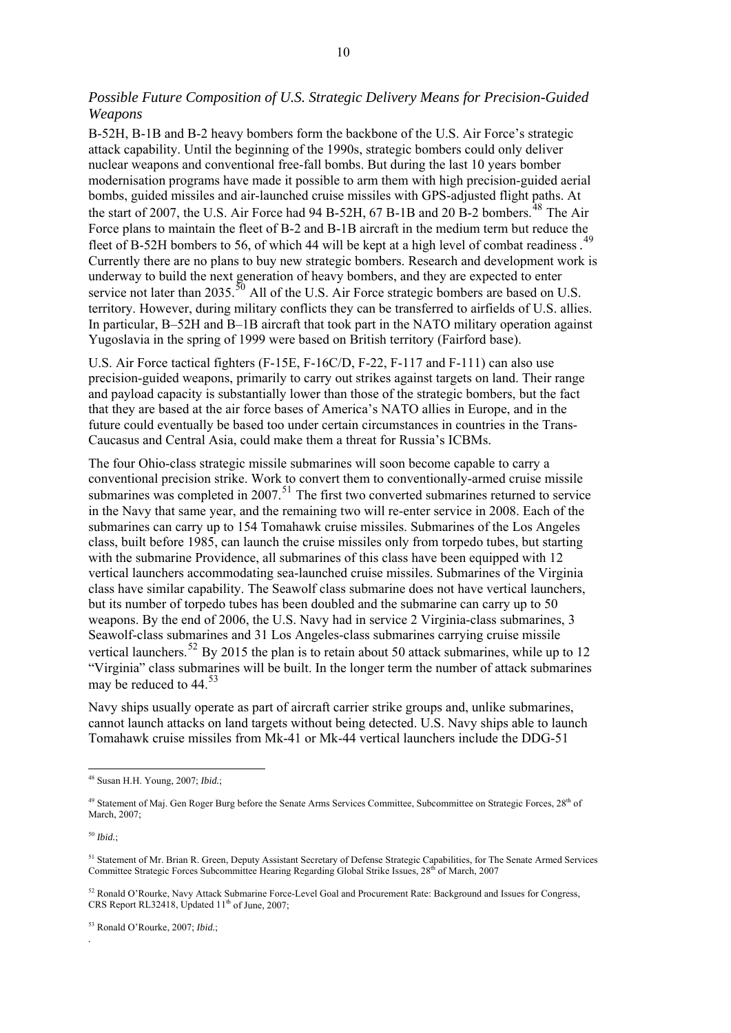# *Possible Future Composition of U.S. Strategic Delivery Means for Precision-Guided Weapons*

B-52H, B-1B and B-2 heavy bombers form the backbone of the U.S. Air Force's strategic attack capability. Until the beginning of the 1990s, strategic bombers could only deliver nuclear weapons and conventional free-fall bombs. But during the last 10 years bomber modernisation programs have made it possible to arm them with high precision-guided aerial bombs, guided missiles and air-launched cruise missiles with GPS-adjusted flight paths. At the start of 2007, the U.S. Air Force had 94 B-52H, 67 B-1B and 20 B-2 bombers.<sup>[48](#page-9-0)</sup> The Air Force plans to maintain the fleet of B-2 and B-1B aircraft in the medium term but reduce the fleet of B-52H bombers to 56, of which 44 will be kept at a high level of combat readiness.<sup>[49](#page-9-1)</sup> Currently there are no plans to buy new strategic bombers. Research and development work is underway to build the next generation of heavy bombers, and they are expected to enter service not later than 2035  $\frac{50}{9}$  $\frac{50}{9}$  $\frac{50}{9}$  All of the U.S. Air Force strategic bombers are based on U.S. territory. However, during military conflicts they can be transferred to airfields of U.S. allies. In particular, B–52H and B–1B aircraft that took part in the NATO military operation against Yugoslavia in the spring of 1999 were based on British territory (Fairford base).

U.S. Air Force tactical fighters (F-15E, F-16C/D, F-22, F-117 and F-111) can also use precision-guided weapons, primarily to carry out strikes against targets on land. Their range and payload capacity is substantially lower than those of the strategic bombers, but the fact that they are based at the air force bases of America's NATO allies in Europe, and in the future could eventually be based too under certain circumstances in countries in the Trans-Caucasus and Central Asia, could make them a threat for Russia's ICBMs.

The four Ohio-class strategic missile submarines will soon become capable to carry a conventional precision strike. Work to convert them to conventionally-armed cruise missile submarines was completed in 2007.<sup>[51](#page-9-3)</sup> The first two converted submarines returned to service in the Navy that same year, and the remaining two will re-enter service in 2008. Each of the submarines can carry up to 154 Tomahawk cruise missiles. Submarines of the Los Angeles class, built before 1985, can launch the cruise missiles only from torpedo tubes, but starting with the submarine Providence, all submarines of this class have been equipped with 12 vertical launchers accommodating sea-launched cruise missiles. Submarines of the Virginia class have similar capability. The Seawolf class submarine does not have vertical launchers, but its number of torpedo tubes has been doubled and the submarine can carry up to 50 weapons. By the end of 2006, the U.S. Navy had in service 2 Virginia-class submarines, 3 Seawolf-class submarines and 31 Los Angeles-class submarines carrying cruise missile vertical launchers.<sup>[52](#page-9-4)</sup> By 2015 the plan is to retain about 50 attack submarines, while up to 12 "Virginia" class submar[in](#page-9-5)es will be built. In the longer term the number of attack submarines may be reduced to  $44^{53}$  $44^{53}$  $44^{53}$ 

Navy ships usually operate as part of aircraft carrier strike groups and, unlike submarines, cannot launch attacks on land targets without being detected. U.S. Navy ships able to launch Tomahawk cruise missiles from Mk-41 or Mk-44 vertical launchers include the DDG-51

<span id="page-9-2"></span><sup>50</sup> *Ibid.*;

*.*

<span id="page-9-0"></span><sup>48</sup> Susan H.H. Young, 2007; *Ibid.*;

<span id="page-9-1"></span><sup>&</sup>lt;sup>49</sup> Statement of Maj. Gen Roger Burg before the Senate Arms Services Committee, Subcommittee on Strategic Forces, 28<sup>th</sup> of March, 2007;

<span id="page-9-3"></span><sup>&</sup>lt;sup>51</sup> Statement of Mr. Brian R. Green, Deputy Assistant Secretary of Defense Strategic Capabilities, for The Senate Armed Services Committee Strategic Forces Subcommittee Hearing Regarding Global Strike Issues, 28<sup>th</sup> of March, 2007

<span id="page-9-4"></span><sup>52</sup> Ronald O'Rourke, Navy Attack Submarine Force-Level Goal and Procurement Rate: Background and Issues for Congress, CRS Report RL32418, Updated  $11<sup>th</sup>$  of June, 2007;

<span id="page-9-5"></span><sup>53</sup> Ronald O'Rourke, 2007; *Ibid.*;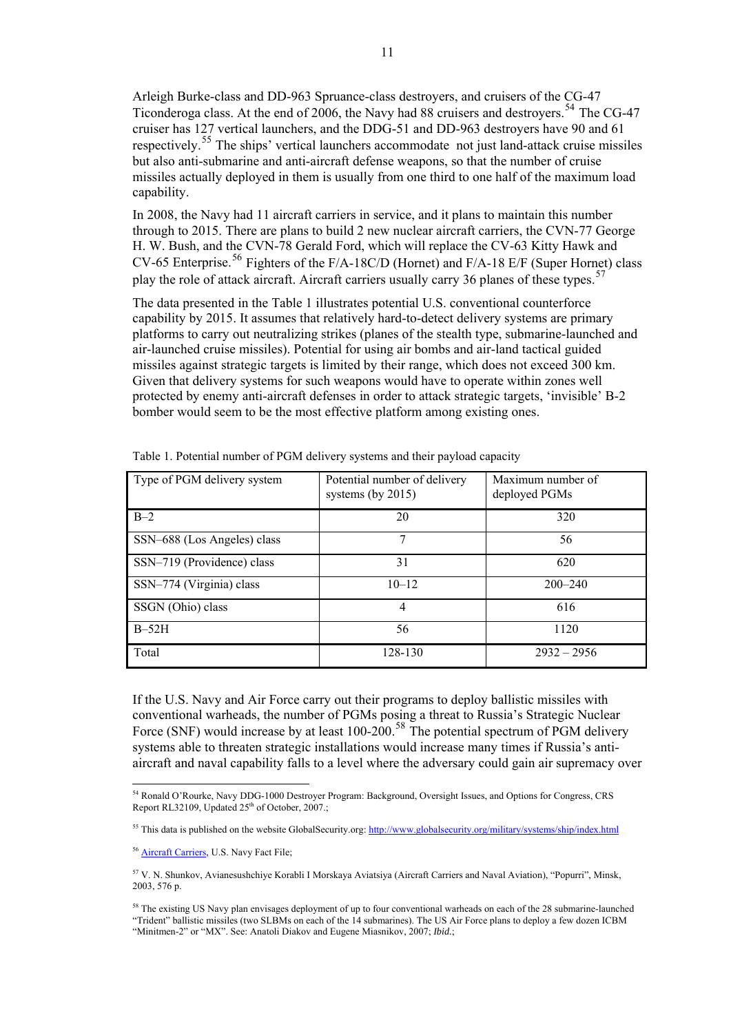Arleigh Burke-class and DD-963 Spruance-class destroyers, and cruisers of the CG-47 Ticonderoga class. At the end of 2006, the Navy had 88 cruisers and destroyers.<sup>[54](#page-10-0)</sup> The CG-47 cruiser has 127 vertical launchers, and the DDG-51 and DD-963 destroyers have 90 and 61 respectively.[55](#page-10-1) The ships' vertical launchers accommodate not just land-attack cruise missiles but also anti-submarine and anti-aircraft defense weapons, so that the number of cruise missiles actually deployed in them is usually from one third to one half of the maximum load capability.

In 2008, the Navy had 11 aircraft carriers in service, and it plans to maintain this number through to 2015. There are plans to build 2 new nuclear aircraft carriers, the CVN-77 George H. W. Bush, and the CVN-78 Gerald Ford, which will replace the CV-63 Kitty Hawk and CV-65 Enterprise.<sup>[56](#page-10-2)</sup> Fighters of the F/A-18C/D (Hornet) and F/A-18 E/F (Super Hornet) class play the role of attack aircraft. Aircraft carriers usually carry 36 planes of these types.<sup>[57](#page-10-3)</sup>

The data presented in the Table 1 illustrates potential U.S. conventional counterforce capability by 2015. It assumes that relatively hard-to-detect delivery systems are primary platforms to carry out neutralizing strikes (planes of the stealth type, submarine-launched and air-launched cruise missiles). Potential for using air bombs and air-land tactical guided missiles against strategic targets is limited by their range, which does not exceed 300 km. Given that delivery systems for such weapons would have to operate within zones well protected by enemy anti-aircraft defenses in order to attack strategic targets, 'invisible' B-2 bomber would seem to be the most effective platform among existing ones.

| Type of PGM delivery system | Potential number of delivery<br>systems (by $2015$ ) | Maximum number of<br>deployed PGMs |
|-----------------------------|------------------------------------------------------|------------------------------------|
| $B-2$                       | 20                                                   | 320                                |
| SSN-688 (Los Angeles) class | 7                                                    | 56                                 |
| SSN-719 (Providence) class  | 31                                                   | 620                                |
| SSN-774 (Virginia) class    | $10 - 12$                                            | $200 - 240$                        |
| SSGN (Ohio) class           | $\overline{4}$                                       | 616                                |
| $B-52H$                     | 56                                                   | 1120                               |
| Total                       | 128-130                                              | $2932 - 2956$                      |

Table 1. Potential number of PGM delivery systems and their payload capacity

If the U.S. Navy and Air Force carry out their programs to deploy ballistic missiles with conventional warheads, the number of PGMs posing a threat to Russia's Strategic Nuclear Force (SNF) would increase by at least 100-200.<sup>[58](#page-10-4)</sup> The potential spectrum of PGM delivery systems able to threaten strategic installations would increase many times if Russia's antiaircraft and naval capability falls to a level where the adversary could gain air supremacy over

<span id="page-10-0"></span><sup>1</sup> 54 Ronald O'Rourke, Navy DDG-1000 Destroyer Program: Background, Oversight Issues, and Options for Congress, CRS Report RL32109, Updated 25<sup>th</sup> of October, 2007.;

<span id="page-10-1"></span><sup>&</sup>lt;sup>55</sup> This data is published on the website GlobalSecurity.org: <http://www.globalsecurity.org/military/systems/ship/index.html>

<span id="page-10-2"></span><sup>56</sup> [Aircraft Carriers](http://www.navy.mil/navydata/fact.asp), U.S. Navy Fact File;

<span id="page-10-3"></span><sup>57</sup> V. N. Shunkov, Avianesushchiye Korabli I Morskaya Aviatsiya (Aircraft Carriers and Naval Aviation), "Popurri", Minsk, 2003, 576 p.

<span id="page-10-4"></span><sup>&</sup>lt;sup>58</sup> The existing US Navy plan envisages deployment of up to four conventional warheads on each of the 28 submarine-launched "Trident" ballistic missiles (two SLBMs on each of the 14 submarines). The US Air Force plans to deploy a few dozen ICBM "Minitmen-2" or "MX". See: Anatoli Diakov and Eugene Miasnikov, 2007; *Ibid.*;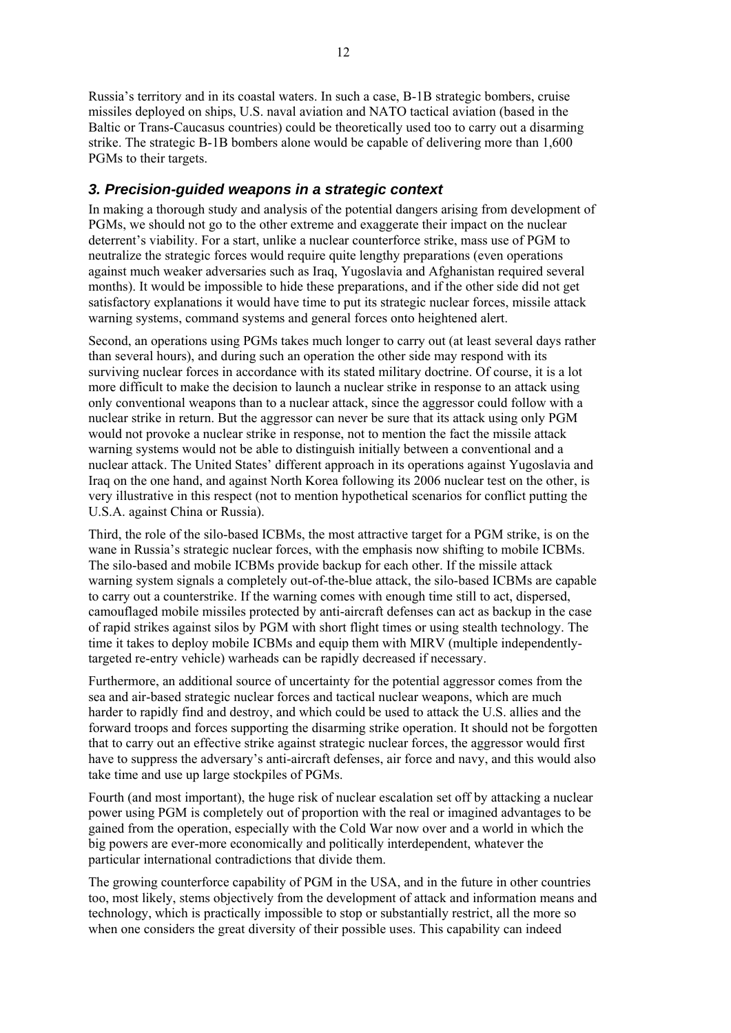Russia's territory and in its coastal waters. In such a case, B-1B strategic bombers, cruise missiles deployed on ships, U.S. naval aviation and NATO tactical aviation (based in the Baltic or Trans-Caucasus countries) could be theoretically used too to carry out a disarming strike. The strategic B-1B bombers alone would be capable of delivering more than 1,600 PGMs to their targets.

# *3. Precision-guided weapons in a strategic context*

In making a thorough study and analysis of the potential dangers arising from development of PGMs, we should not go to the other extreme and exaggerate their impact on the nuclear deterrent's viability. For a start, unlike a nuclear counterforce strike, mass use of PGM to neutralize the strategic forces would require quite lengthy preparations (even operations against much weaker adversaries such as Iraq, Yugoslavia and Afghanistan required several months). It would be impossible to hide these preparations, and if the other side did not get satisfactory explanations it would have time to put its strategic nuclear forces, missile attack warning systems, command systems and general forces onto heightened alert.

Second, an operations using PGMs takes much longer to carry out (at least several days rather than several hours), and during such an operation the other side may respond with its surviving nuclear forces in accordance with its stated military doctrine. Of course, it is a lot more difficult to make the decision to launch a nuclear strike in response to an attack using only conventional weapons than to a nuclear attack, since the aggressor could follow with a nuclear strike in return. But the aggressor can never be sure that its attack using only PGM would not provoke a nuclear strike in response, not to mention the fact the missile attack warning systems would not be able to distinguish initially between a conventional and a nuclear attack. The United States' different approach in its operations against Yugoslavia and Iraq on the one hand, and against North Korea following its 2006 nuclear test on the other, is very illustrative in this respect (not to mention hypothetical scenarios for conflict putting the U.S.A. against China or Russia).

Third, the role of the silo-based ICBMs, the most attractive target for a PGM strike, is on the wane in Russia's strategic nuclear forces, with the emphasis now shifting to mobile ICBMs. The silo-based and mobile ICBMs provide backup for each other. If the missile attack warning system signals a completely out-of-the-blue attack, the silo-based ICBMs are capable to carry out a counterstrike. If the warning comes with enough time still to act, dispersed, camouflaged mobile missiles protected by anti-aircraft defenses can act as backup in the case of rapid strikes against silos by PGM with short flight times or using stealth technology. The time it takes to deploy mobile ICBMs and equip them with MIRV (multiple independentlytargeted re-entry vehicle) warheads can be rapidly decreased if necessary.

Furthermore, an additional source of uncertainty for the potential aggressor comes from the sea and air-based strategic nuclear forces and tactical nuclear weapons, which are much harder to rapidly find and destroy, and which could be used to attack the U.S. allies and the forward troops and forces supporting the disarming strike operation. It should not be forgotten that to carry out an effective strike against strategic nuclear forces, the aggressor would first have to suppress the adversary's anti-aircraft defenses, air force and navy, and this would also take time and use up large stockpiles of PGMs.

Fourth (and most important), the huge risk of nuclear escalation set off by attacking a nuclear power using PGM is completely out of proportion with the real or imagined advantages to be gained from the operation, especially with the Cold War now over and a world in which the big powers are ever-more economically and politically interdependent, whatever the particular international contradictions that divide them.

The growing counterforce capability of PGM in the USA, and in the future in other countries too, most likely, stems objectively from the development of attack and information means and technology, which is practically impossible to stop or substantially restrict, all the more so when one considers the great diversity of their possible uses. This capability can indeed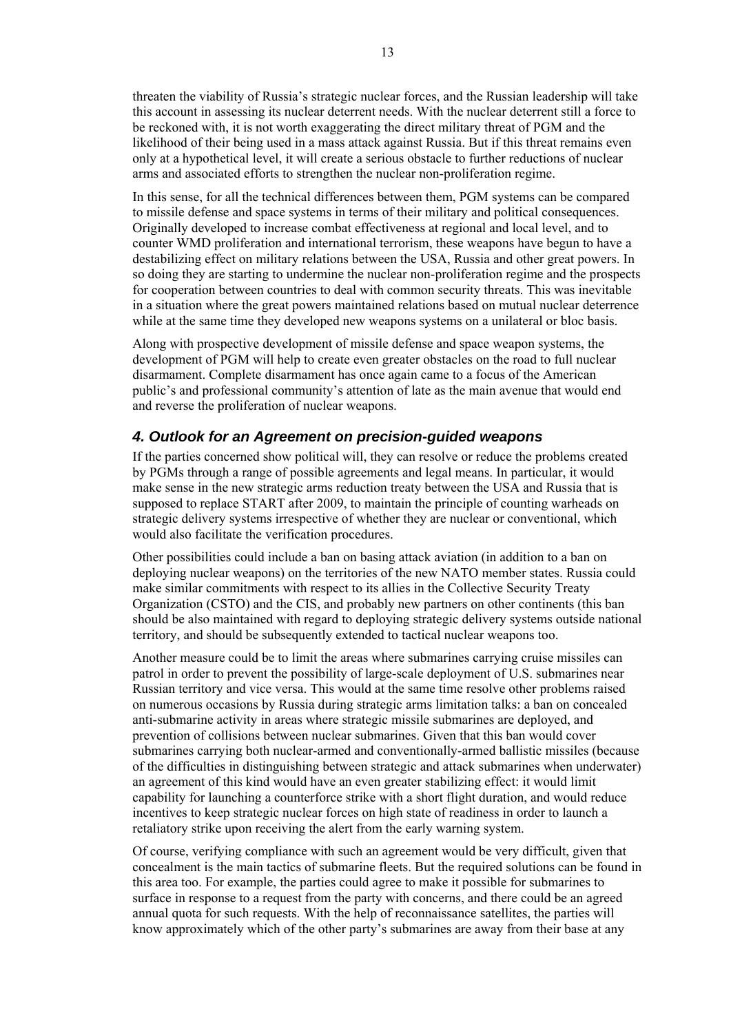threaten the viability of Russia's strategic nuclear forces, and the Russian leadership will take this account in assessing its nuclear deterrent needs. With the nuclear deterrent still a force to be reckoned with, it is not worth exaggerating the direct military threat of PGM and the likelihood of their being used in a mass attack against Russia. But if this threat remains even only at a hypothetical level, it will create a serious obstacle to further reductions of nuclear arms and associated efforts to strengthen the nuclear non-proliferation regime.

In this sense, for all the technical differences between them, PGM systems can be compared to missile defense and space systems in terms of their military and political consequences. Originally developed to increase combat effectiveness at regional and local level, and to counter WMD proliferation and international terrorism, these weapons have begun to have a destabilizing effect on military relations between the USA, Russia and other great powers. In so doing they are starting to undermine the nuclear non-proliferation regime and the prospects for cooperation between countries to deal with common security threats. This was inevitable in a situation where the great powers maintained relations based on mutual nuclear deterrence while at the same time they developed new weapons systems on a unilateral or bloc basis.

Along with prospective development of missile defense and space weapon systems, the development of PGM will help to create even greater obstacles on the road to full nuclear disarmament. Complete disarmament has once again came to a focus of the American public's and professional community's attention of late as the main avenue that would end and reverse the proliferation of nuclear weapons.

# *4. Outlook for an Agreement on precision-guided weapons*

If the parties concerned show political will, they can resolve or reduce the problems created by PGMs through a range of possible agreements and legal means. In particular, it would make sense in the new strategic arms reduction treaty between the USA and Russia that is supposed to replace START after 2009, to maintain the principle of counting warheads on strategic delivery systems irrespective of whether they are nuclear or conventional, which would also facilitate the verification procedures.

Other possibilities could include a ban on basing attack aviation (in addition to a ban on deploying nuclear weapons) on the territories of the new NATO member states. Russia could make similar commitments with respect to its allies in the Collective Security Treaty Organization (CSTO) and the CIS, and probably new partners on other continents (this ban should be also maintained with regard to deploying strategic delivery systems outside national territory, and should be subsequently extended to tactical nuclear weapons too.

Another measure could be to limit the areas where submarines carrying cruise missiles can patrol in order to prevent the possibility of large-scale deployment of U.S. submarines near Russian territory and vice versa. This would at the same time resolve other problems raised on numerous occasions by Russia during strategic arms limitation talks: a ban on concealed anti-submarine activity in areas where strategic missile submarines are deployed, and prevention of collisions between nuclear submarines. Given that this ban would cover submarines carrying both nuclear-armed and conventionally-armed ballistic missiles (because of the difficulties in distinguishing between strategic and attack submarines when underwater) an agreement of this kind would have an even greater stabilizing effect: it would limit capability for launching a counterforce strike with a short flight duration, and would reduce incentives to keep strategic nuclear forces on high state of readiness in order to launch a retaliatory strike upon receiving the alert from the early warning system.

Of course, verifying compliance with such an agreement would be very difficult, given that concealment is the main tactics of submarine fleets. But the required solutions can be found in this area too. For example, the parties could agree to make it possible for submarines to surface in response to a request from the party with concerns, and there could be an agreed annual quota for such requests. With the help of reconnaissance satellites, the parties will know approximately which of the other party's submarines are away from their base at any